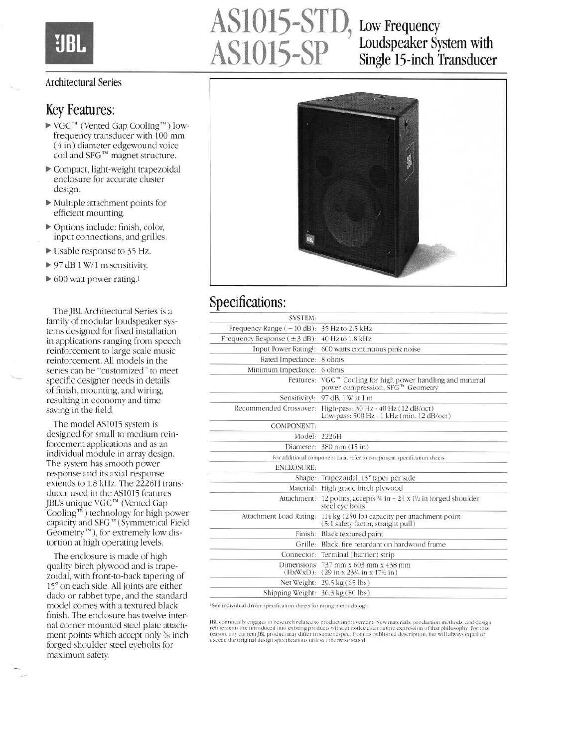

# AS1015-STD, Low Frequency<br>AS1015-SP Loudspeaker Sy<br>Single 15-inch 1

## Loudspeaker System with Single 15-inch Transducer

#### Architectural Series

#### Key Features:

- $\blacktriangleright$  VGC<sup>TM</sup> (Vented Gap Cooling<sup>TM</sup>) lowfrequency transducer with 100 mm (4 in) diameter edgewound voice coil and SFG'" magnet structure.
- b Compact, light-weight trapezoidal enclosure for accurate cluster design.
- $\blacktriangleright$  Multiple attachment points for efficient mounting.
- $\triangleright$  Options include: finish, color, input connections, and grilles.
- $\triangleright$  Usable response to 35 Hz.
- $\triangleright$  97 dB 1 W/1 m sensitivity.
- $\triangleright$  600 watt power rating.<sup>1</sup>

The JBL Architectural Series is a family of modular loudspeaker systems designed for fixed installation in applications ranging from speech reinforcement to large scale music reinforcement. All models in the series can be "customized" to meet specific designer needs in details of finish, mounting, and wiring, resulting in economy and time saving in the field.

The model AS1015 system is designed for small to medium reinforcement applications and as an individual module in array design, The system has smooth power response and its axial response extends to 1.8 kHz. The 2226H transducer used in the AS1015 features BL's unique VGC<sup>"</sup>" (Vented Gap Cooling '" ) technology for high power capacity and SFG'"(Symmetrica1 Field Geometry'"), for extremely low disortion at high operating levels.

The enclosure is made of high quality birch plywood and is trapezoidal, with front-to-back tapering of 15" on each side. All joints are either dado or rabbet type, and the standard model comes with a textured black finish. The enclosure has twelve internal corner mounted steel plate attachment points which accept only % inch forged shoulder steel eyebolts for maximum safety.

,



#### Specifications:

| <b>SYSTEM:</b>                                    |                                                                                                                                     |
|---------------------------------------------------|-------------------------------------------------------------------------------------------------------------------------------------|
| Frequency Range $(-10$ dB): 35 Hz to 2.5 kHz      |                                                                                                                                     |
| Frequency Response $(\pm 3$ dB): 40 Hz to 1.8 kHz |                                                                                                                                     |
|                                                   | Input Power Rating <sup>1</sup> : 600 watts continuous pink noise                                                                   |
| Rated Impedance: 8 ohms                           |                                                                                                                                     |
| Minimum Impedance: 6 ohms                         |                                                                                                                                     |
|                                                   | Features: $VGC^{m}$ Cooling for high power handling and minimal<br>power compression; SFG™ Geometry                                 |
|                                                   | Sensitivity <sup>1</sup> : 97 dB, 1 W at 1 m                                                                                        |
|                                                   | Recommended Crossover: High-pass: 30 Hz - 40 Hz (12 dB/oct)<br>Low-pass: 500 Hz - 1 kHz (min. 12 dB/oct)                            |
| <b>COMPONENT:</b>                                 |                                                                                                                                     |
|                                                   | Model: 2226H                                                                                                                        |
|                                                   | Diameter: 380 mm (15 in)                                                                                                            |
|                                                   | For additional component data, refer to component specification sheets                                                              |
| <b>ENCLOSURE:</b>                                 |                                                                                                                                     |
|                                                   | Shape: Trapezoidal, 15° taper per side                                                                                              |
|                                                   | Material: High grade birch plywood                                                                                                  |
|                                                   | Attachment: 12 points, accepts $\frac{3}{6}$ in $- 24 \times 1\frac{1}{2}$ in forged shoulder<br>steel eve bolts                    |
|                                                   | Attachment Load Rating: 114 kg (250 lb) capacity per attachment point<br>(5:1 safety factor, straight pull)                         |
|                                                   | Finish: Black textured paint                                                                                                        |
|                                                   | Grille: Black, fire retardant on hardwood frame                                                                                     |
|                                                   | Connector: Terminal (barrier) strip                                                                                                 |
|                                                   | Dimensions $737$ mm x 603 mm x 438 mm<br>$(HxWxD):$ (29 in x 23 <sup>1</sup> / <sub>4</sub> in x 17 <sup>1</sup> / <sub>2</sub> in) |
|                                                   | Net Weight: 29.5 kg (65 lbs)                                                                                                        |
| Shipping Weight: 36.3 kg (80 lbs)                 |                                                                                                                                     |
|                                                   |                                                                                                                                     |

<sup>1</sup>See individual driver specification sheets for rating methodology.

JBL continually engages in research related to product improvement. New materials, production methods, and design Frequencial are introduced into existing products without notice as a routine expression of that philosophy. For thi<br>reason, any current JBL product may differ in some respect from its published description, but will alway exceed the original design specifications unless otherwise stated.